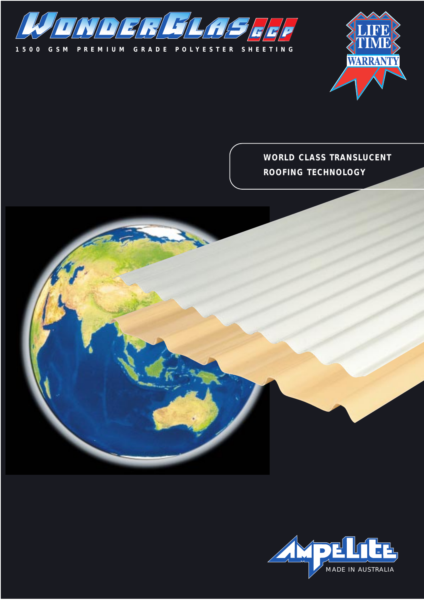



**WORLD CLASS TRANSLUCENT ROOFING TECHNOLOGY**

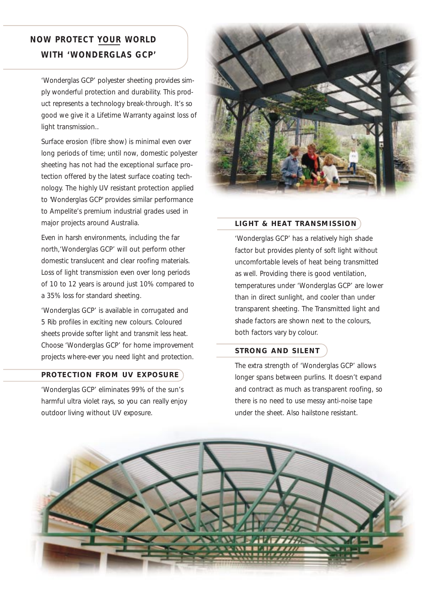# **NOW PROTECT YOUR WORLD WITH 'WONDERGLAS GCP'**

'Wonderglas GCP' polyester sheeting provides simply wonderful protection and durability. This product represents a technology break-through. It's so good we give it a Lifetime Warranty against loss of light transmission..

Surface erosion (fibre show) is minimal even over long periods of time; until now, domestic polyester sheeting has not had the exceptional surface protection offered by the latest surface coating technology. The highly UV resistant protection applied to 'Wonderglas GCP' provides similar performance to Ampelite's premium industrial grades used in major projects around Australia.

Even in harsh environments, including the far north,'Wonderglas GCP' will out perform other domestic translucent and clear roofing materials. Loss of light transmission even over long periods of 10 to 12 years is around just 10% compared to a 35% loss for standard sheeting.

'Wonderglas GCP' is available in corrugated and 5 Rib profiles in exciting new colours. Coloured sheets provide softer light and transmit less heat. Choose 'Wonderglas GCP' for home improvement projects where-ever you need light and protection.

# **PROTECTION FROM UV EXPOSURE**

'Wonderglas GCP' eliminates 99% of the sun's harmful ultra violet rays, so you can really enjoy outdoor living without UV exposure.



# **LIGHT & HEAT TRANSMISSION**

'Wonderglas GCP' has a relatively high shade factor but provides plenty of soft light without uncomfortable levels of heat being transmitted as well. Providing there is good ventilation, temperatures under 'Wonderglas GCP' are lower than in direct sunlight, and cooler than under transparent sheeting. The Transmitted light and shade factors are shown next to the colours, both factors vary by colour.

# **STRONG AND SILENT**

The extra strength of 'Wonderglas GCP' allows longer spans between purlins. It doesn't expand and contract as much as transparent roofing, so there is no need to use messy anti-noise tape under the sheet. Also hailstone resistant.

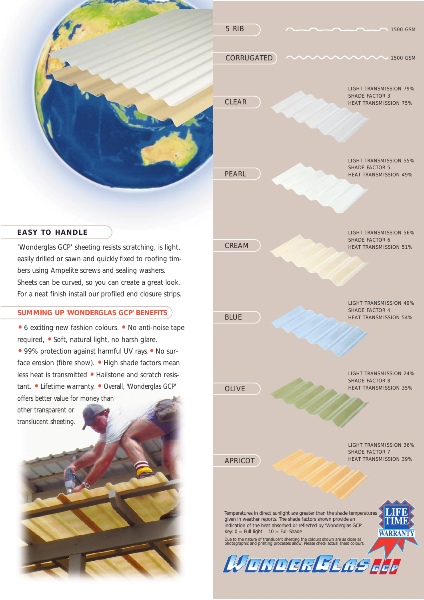

easily drilled or sawn and quickly fixed to roofing timbers using Ampelite screws and sealing washers. Sheets can be curved, so you can create a great look. For a neat finish install our profiled end closure strips.

### **SUMMING UP 'WONDERGLAS GCP' BENEFITS**

• 6 exciting new fashion colours. • No anti-noise tape required, •Soft, natural light, no harsh glare.

• 99% protection against harmful UV rays. • No surface erosion (fibre show). • High shade factors mean less heat is transmitted • Hailstone and scratch resistant. • Lifetime warranty. • Overall, 'Wonderglas GCP' offers better value for money than

other transparent or translucent sheeting.





WONDER SLOS EEF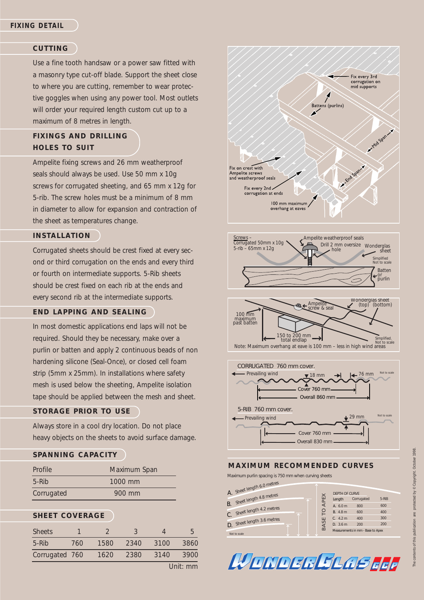### **CUTTING**

Use a fine tooth handsaw or a power saw fitted with a masonry type cut-off blade. Support the sheet close to where you are cutting, remember to wear protective goggles when using any power tool. Most outlets will order your required length custom cut up to a maximum of 8 metres in length.

# **FIXINGS AND DRILLING HOLES TO SUIT**

Ampelite fixing screws and 26 mm weatherproof seals should always be used. Use 50 mm x 10g screws for corrugated sheeting, and 65 mm x 12g for 5-rib. The screw holes must be a minimum of 8 mm in diameter to allow for expansion and contraction of the sheet as temperatures change.

#### **INSTALLATION**

Corrugated sheets should be crest fixed at every second or third corrugation on the ends and every third or fourth on intermediate supports. 5-Rib sheets should be crest fixed on each rib at the ends and every second rib at the intermediate supports.

# **END LAPPING AND SEALING**

In most domestic applications end laps will not be required. Should they be necessary, make over a purlin or batten and apply 2 continuous beads of non hardening silicone (Seal-Once), or closed cell foam strip (5mm x 25mm). In installations where safety mesh is used below the sheeting, Ampelite isolation tape should be applied between the mesh and sheet.

# **STORAGE PRIOR TO USE**

Always store in a cool dry location. Do not place heavy objects on the sheets to avoid surface damage.

# **SPANNING CAPACITY**

| Profile    | Maximum Span |
|------------|--------------|
| $5-Rib$    | 1000 mm      |
| Corrugated | 900 mm       |

### **SHEET COVERAGE**

| <b>Sheets</b>  |     |      |      |      | h    |  |
|----------------|-----|------|------|------|------|--|
| $5-Rib$        | 760 | 1580 | 2340 | 3100 | 3860 |  |
| Corrugated 760 |     | 1620 | 2380 | 3140 | 3900 |  |
| Unit: mm       |     |      |      |      |      |  |









#### **MAXIMUM RECOMMENDED CURVES**

Maximum purlin spacing is 750 mm when curving sheets

|           | A. Sheet length 6.0 metres |   |    |          |                       |                                   |       |
|-----------|----------------------------|---|----|----------|-----------------------|-----------------------------------|-------|
|           |                            |   |    | $\times$ | <b>DEPTH OF CURVE</b> |                                   |       |
|           | Sheet length 4.8 metres    |   | n. | APE      | Length                | Corrugated                        | 5-RIB |
| <b>B.</b> |                            |   |    |          | A. 6.0 m              | 800                               | 600   |
| C.        | Sheet length 4.2 metres    | 木 |    | $\circ$  | B. 4.8 m              | 600                               | 400   |
|           | Sheet length 3.6 metres    |   |    | ш        | C. 4.2 m              | 400                               | 300   |
| D.        |                            |   |    | S<br>BA: | D. 3.6 m              | 200                               | 200   |
|           | Not to scale               |   |    |          |                       | Measurements in mm - Base to Apex |       |



1998.